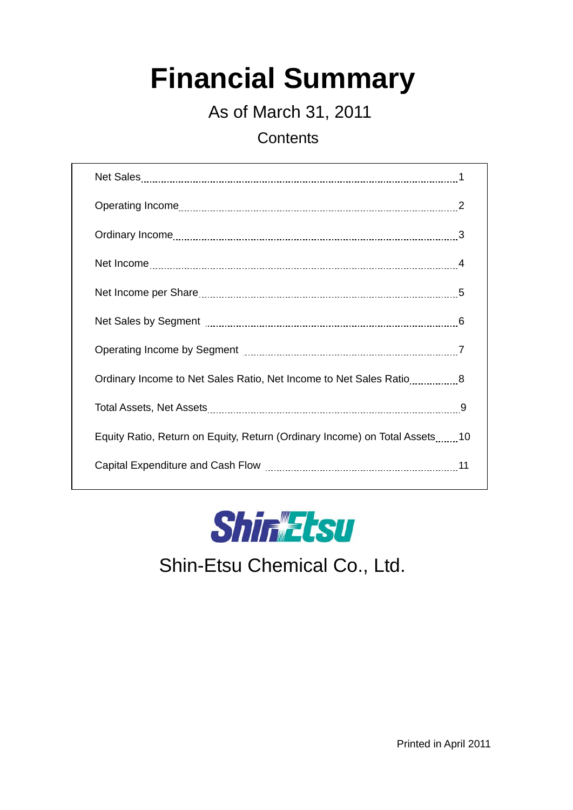# **Financial Summary**

As of March 31, 2011

**Contents** 

| Ordinary Income to Net Sales Ratio, Net Income to Net Sales Ratio8         |
|----------------------------------------------------------------------------|
|                                                                            |
| Equity Ratio, Return on Equity, Return (Ordinary Income) on Total Assets10 |
|                                                                            |



Shin-Etsu Chemical Co., Ltd.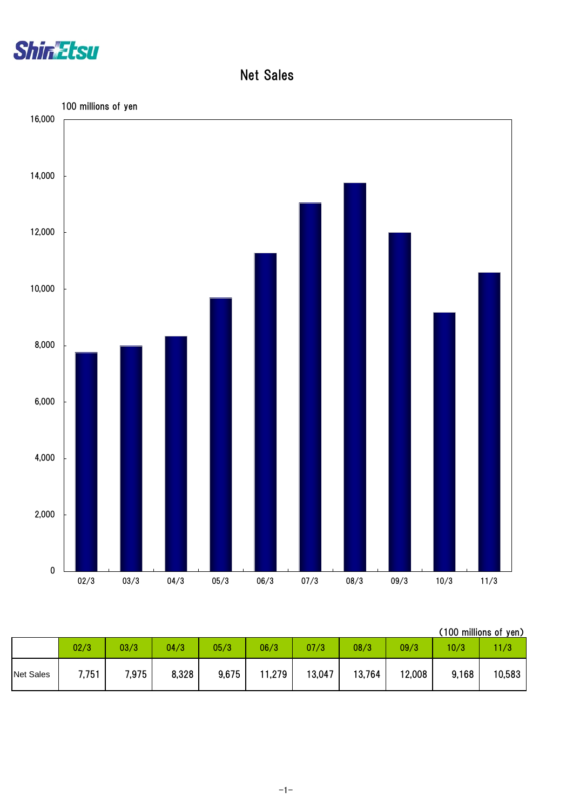

Net Sales



(100 millions of yen)

|                  | 02/3  | 03/3  | 04/3  | 05/3  | 06/3   | 07/3   | 08/3   | 09/3   | 10/3  | 1/3    |
|------------------|-------|-------|-------|-------|--------|--------|--------|--------|-------|--------|
| <b>Net Sales</b> | 7,751 | 7,975 | 8,328 | 9,675 | 11,279 | 13,047 | 13,764 | 12,008 | 9,168 | 10,583 |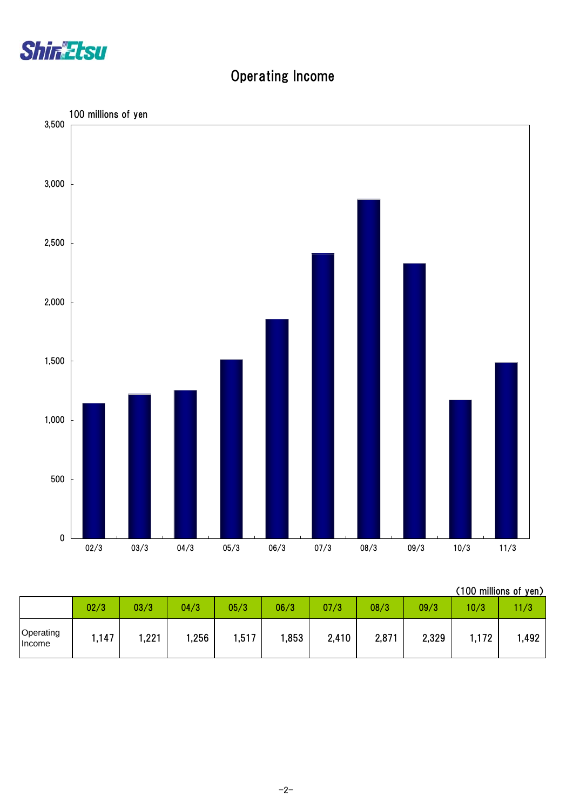

# Operating Income



#### (100 millions of yen)

|                     | 02/3 | 03/3 | 04/3 | 05/3  | 06/3 | 07/3  | 08/3  | 09/3  | 10/3  | 1/3   |
|---------------------|------|------|------|-------|------|-------|-------|-------|-------|-------|
| Operating<br>Income | ,147 | ,221 | ,256 | 1,517 | ,853 | 2,410 | 2,871 | 2,329 | 1,172 | 492,١ |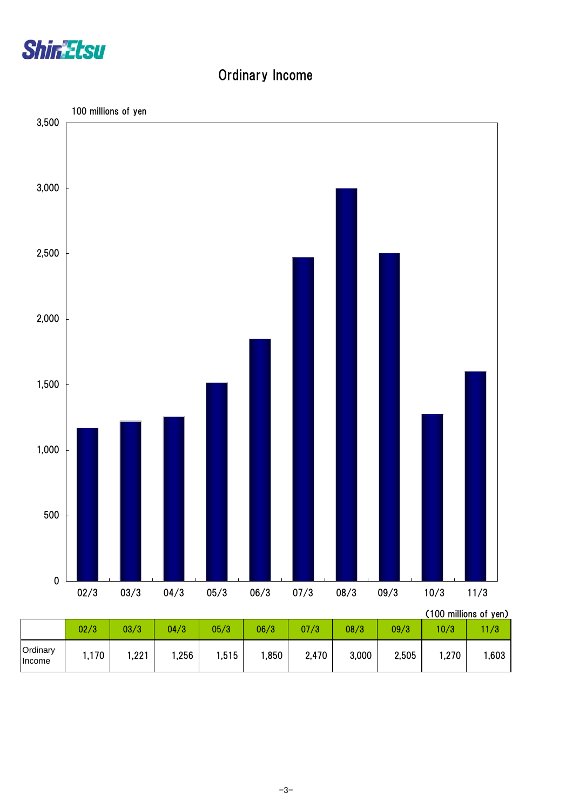

## Ordinary Income

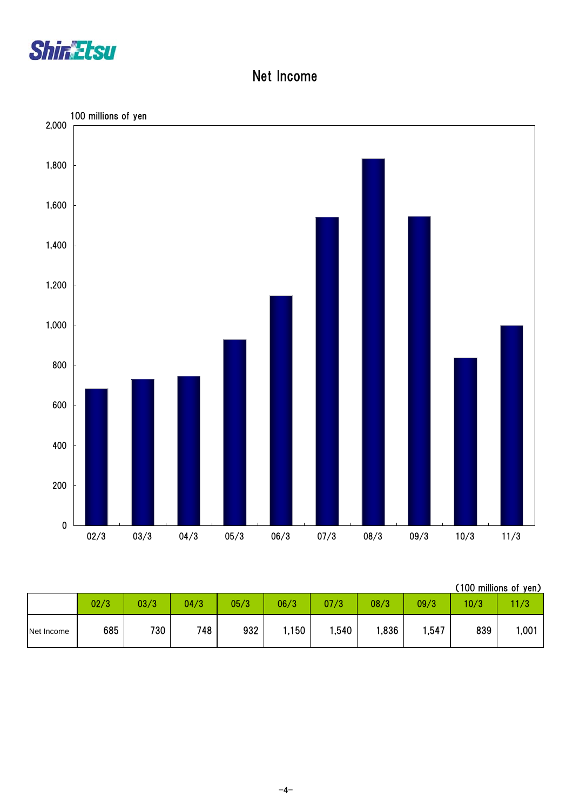

## Net Income



| (100 millions of yen) |  |
|-----------------------|--|
|                       |  |

|            | 02/3 | 03/3 | 04/3 | 05/3 | 06/3  | 07/3 | 08/3 | 09/3 | 10/3 | 11/3  |
|------------|------|------|------|------|-------|------|------|------|------|-------|
| Net Income | 685  | 730  | 748  | 932  | , 150 | ,540 | ,836 | ,547 | 839  | 1,001 |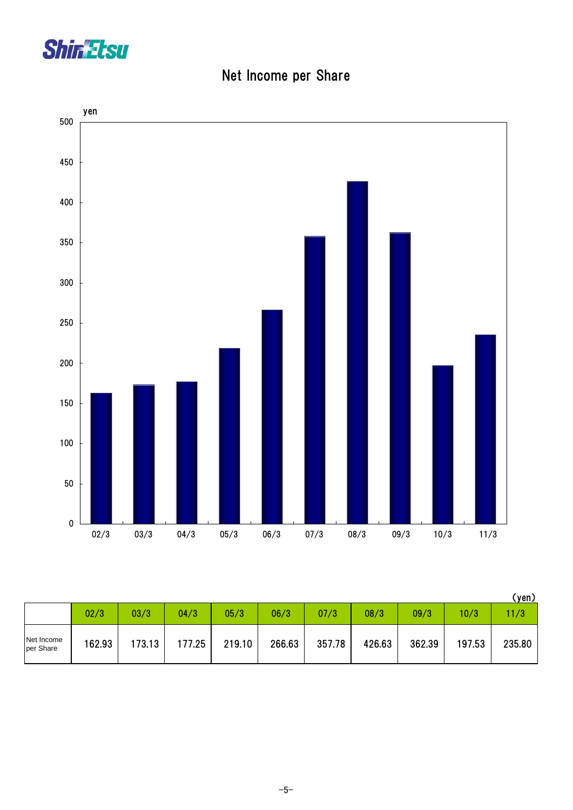

| 500       | yen  |      |      |      |      |      |      |      |      |      |
|-----------|------|------|------|------|------|------|------|------|------|------|
|           |      |      |      |      |      |      |      |      |      |      |
| 450       |      |      |      |      |      |      |      |      |      |      |
|           |      |      |      |      |      |      |      |      |      |      |
| 400       |      |      |      |      |      |      |      |      |      |      |
|           |      |      |      |      |      |      |      |      |      |      |
| 350       |      |      |      |      |      |      |      |      |      |      |
| 300       |      |      |      |      |      |      |      |      |      |      |
|           |      |      |      |      |      |      |      |      |      |      |
| 250       |      |      |      |      |      |      |      |      |      |      |
| 200       |      |      |      |      |      |      |      |      |      |      |
|           |      |      |      |      |      |      |      |      |      |      |
| 150       |      |      |      |      |      |      |      |      |      |      |
|           |      |      |      |      |      |      |      |      |      |      |
| 100       |      |      |      |      |      |      |      |      |      |      |
| 50        |      |      |      |      |      |      |      |      |      |      |
|           |      |      |      |      |      |      |      |      |      |      |
| $\pmb{0}$ | 02/3 | 03/3 | 04/3 | 05/3 | 06/3 | 07/3 | 08/3 | 09/3 | 10/3 | 11/3 |

Net Income per Share

|                         |        |        |        |        |        |        |        |        |        | (yen)  |
|-------------------------|--------|--------|--------|--------|--------|--------|--------|--------|--------|--------|
|                         | 02/3   | 03/3   | 04/3   | 05/3   | 06/3   | 07/3   | 08/3   | 09/3   | 10/3   | 1/3    |
| Net Income<br>per Share | 162.93 | 173.13 | 177.25 | 219.10 | 266.63 | 357.78 | 426.63 | 362.39 | 197.53 | 235.80 |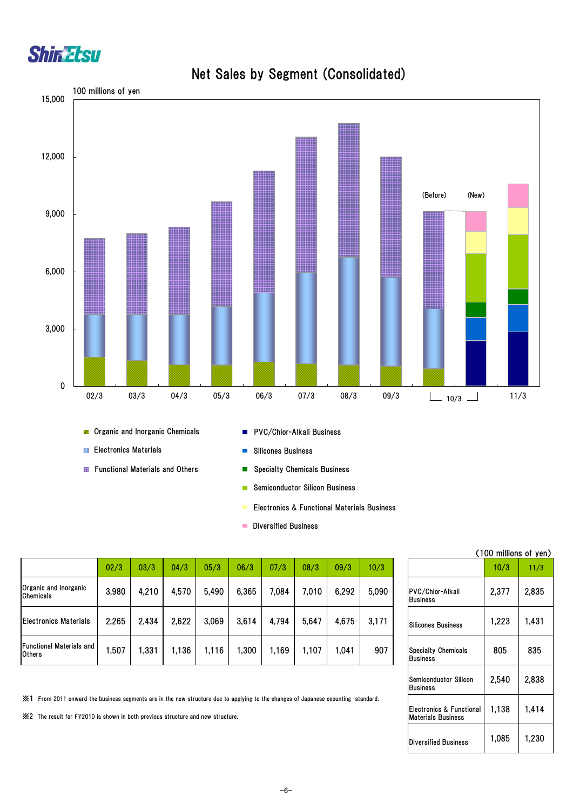



## Net Sales by Segment (Consolidated)

**Diversified Business** 

|                                                  |       |       |       |       |       |       |       |       |       |                                               | LTUU MIIIIONS OF YE |       |
|--------------------------------------------------|-------|-------|-------|-------|-------|-------|-------|-------|-------|-----------------------------------------------|---------------------|-------|
|                                                  | 02/3  | 03/3  | 04/3  | 05/3  | 06/3  | 07/3  | 08/3  | 09/3  | 10/3  |                                               | 10/3                | 11/3  |
| Organic and Inorganic<br><b>Chemicals</b>        | 3,980 | 4,210 | 4,570 | 5,490 | 6,365 | 7,084 | 7,010 | 6,292 | 5,090 | PVC/Chlor-Alkali<br><b>Business</b>           | 2,377               | 2,835 |
| <b>Electronics Materials</b>                     | 2,265 | 2,434 | 2,622 | 3,069 | 3.614 | 4,794 | 5,647 | 4,675 | 3,171 | <b>Silicones Business</b>                     | 1,223               | ,431  |
| <b>Functional Materials and</b><br><b>Others</b> | ,507  | ,331  | 1,136 | 116،، | ,300  | 1,169 | ,107  | 041,، | 907   | <b>Specialty Chemicals</b><br><b>Business</b> | 805                 | 835   |

|                                                       | (100 millions of yen) |       |
|-------------------------------------------------------|-----------------------|-------|
|                                                       | 10/3                  | 11/3  |
| PVC/Chlor-Alkali<br><b>Business</b>                   | 2.377                 | 2,835 |
| <b>Silicones Business</b>                             | 1.223                 | 1,431 |
| <b>Specialty Chemicals</b><br><b>Business</b>         | 805                   | 835   |
| <b>Semiconductor Silicon</b><br>Business              | 2,540                 | 2,838 |
| Electronics & Functional<br><b>Materials Business</b> | 1.138                 | 1.414 |
| <b>Diversified Business</b>                           | 1,085                 | 1.230 |

※1 From 2011 onward the business segments are in the new structure due to applying to the changes of Japanese ccounting standard.

※2 The result for FY2010 is shown in both previous structure and new structure.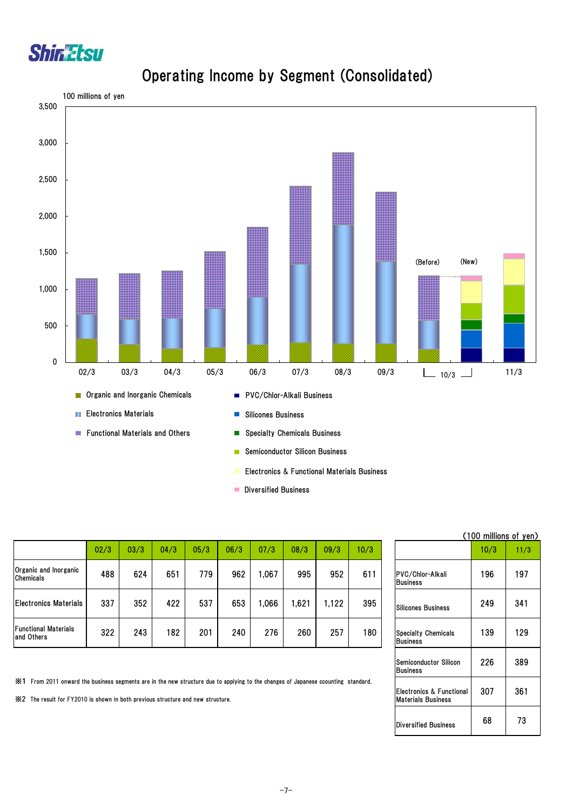



**Diversified Business** 

|                                           |      |      |      |      |      |       |      |       |      |                                               | <b>VION INIMIDIIS AL 1</b> |      |
|-------------------------------------------|------|------|------|------|------|-------|------|-------|------|-----------------------------------------------|----------------------------|------|
|                                           | 02/3 | 03/3 | 04/3 | 05/3 | 06/3 | 07/3  | 08/3 | 09/3  | 10/3 |                                               | 10/3                       | 11/3 |
| Organic and Inorganic<br><b>Chemicals</b> | 488  | 624  | 651  | 779  | 962  | 1,067 | 995  | 952   | 611  | PVC/Chlor-Alkali<br>Business                  | 196                        | 197  |
| <b>Electronics Materials</b>              | 337  | 352  | 422  | 537  | 653  | 1,066 | ,621 | 1.122 | 395  | <b>Silicones Business</b>                     | 249                        | 341  |
| <b>Functional Materials</b><br>and Others | 322  | 243  | 182  | 201  | 240  | 276   | 260  | 257   | 180  | <b>Specialty Chemicals</b><br><b>Business</b> | 139                        | 129  |

※1 From 2011 onward the business segments are in the new structure due to applying to the changes of Japanese ccounting standard.

※2 The result for FY2010 is shown in both previous structure and new structure.

#### (100 millions of yen)

|                                                       | 10/3 | 11/3 |
|-------------------------------------------------------|------|------|
| PVC/Chlor-Alkali<br><b>Business</b>                   | 196  | 197  |
| Silicones Business                                    | 249  | 341  |
| <b>Specialty Chemicals</b><br><b>Business</b>         | 139  | 129  |
| Semiconductor Silicon<br>Business                     | 226  | 389  |
| Electronics & Functional<br><b>Materials Business</b> | 307  | 361  |
| <b>Diversified Business</b>                           | 68   | 73   |

## Operating Income by Segment (Consolidated)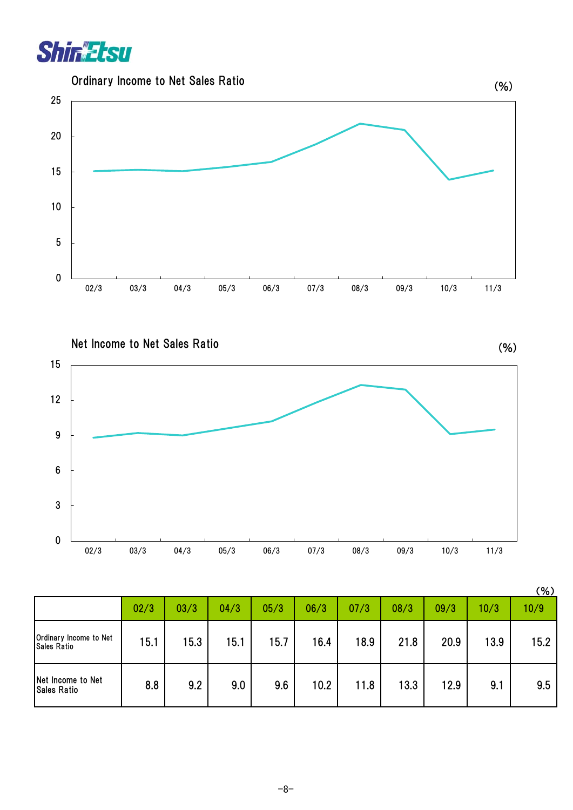

Ordinary Income to Net Sales Ratio



Net Income to Net Sales Ratio

(%)



|                                              |      |      |      |      |      |      |      |      |      | (%)  |
|----------------------------------------------|------|------|------|------|------|------|------|------|------|------|
|                                              | 02/3 | 03/3 | 04/3 | 05/3 | 06/3 | 07/3 | 08/3 | 09/3 | 10/3 | 10/9 |
| Ordinary Income to Net<br><b>Sales Ratio</b> | 15.1 | 15.3 | 15.1 | 15.7 | 16.4 | 18.9 | 21.8 | 20.9 | 13.9 | 15.2 |
| Net Income to Net<br><b>Sales Ratio</b>      | 8.8  | 9.2  | 9.0  | 9.6  | 10.2 | 11.8 | 13.3 | 12.9 | 9.1  | 9.5  |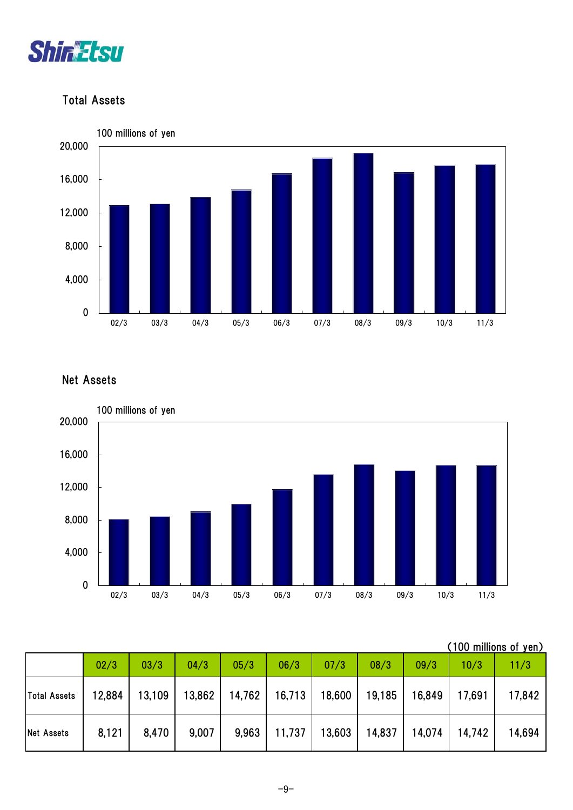

### Total Assets



## Net Assets



| (100 millions of yen) |  |
|-----------------------|--|
|                       |  |

|                   | 02/3   | 03/3   | 04/3  | 05/3                              | 06/3   | 07/3   | 08/3   | 09/3   | 10/3   | 11/3   |
|-------------------|--------|--------|-------|-----------------------------------|--------|--------|--------|--------|--------|--------|
| Total Assets      | 12,884 | 13,109 |       | 13,862   14,762   16,713   18,600 |        |        | 19,185 | 16,849 | 17,691 | 17,842 |
| <b>Net Assets</b> | 8,121  | 8,470  | 9,007 | 9,963                             | 11,737 | 13,603 | 14,837 | 14,074 | 14,742 | 14,694 |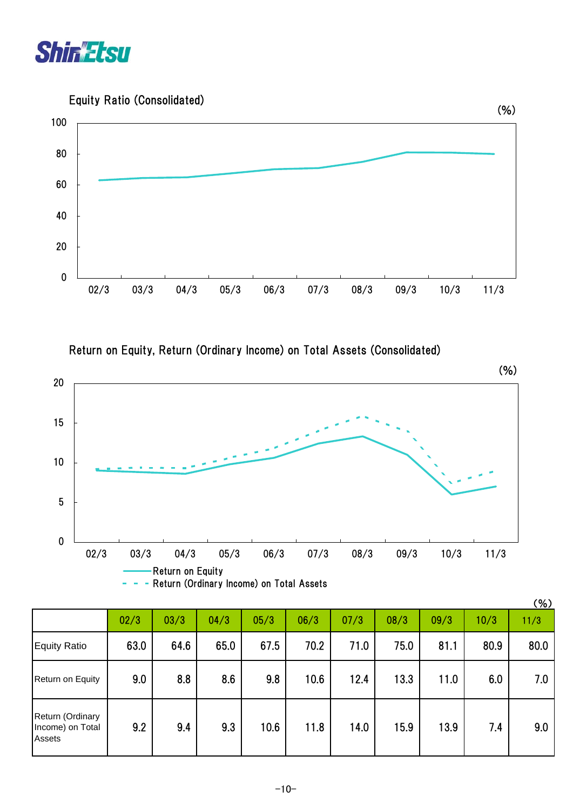

Equity Ratio (Consolidated)



Return on Equity, Return (Ordinary Income) on Total Assets (Consolidated)



|                                                |      |      |      |      |      |      |      |      |      | (%)  |
|------------------------------------------------|------|------|------|------|------|------|------|------|------|------|
|                                                | 02/3 | 03/3 | 04/3 | 05/3 | 06/3 | 07/3 | 08/3 | 09/3 | 10/3 | 11/3 |
| Equity Ratio                                   | 63.0 | 64.6 | 65.0 | 67.5 | 70.2 | 71.0 | 75.0 | 81.1 | 80.9 | 80.0 |
| Return on Equity                               | 9.0  | 8.8  | 8.6  | 9.8  | 10.6 | 12.4 | 13.3 | 11.0 | 6.0  | 7.0  |
| Return (Ordinary<br>Income) on Total<br>Assets | 9.2  | 9.4  | 9.3  | 10.6 | 11.8 | 14.0 | 15.9 | 13.9 | 7.4  | 9.0  |